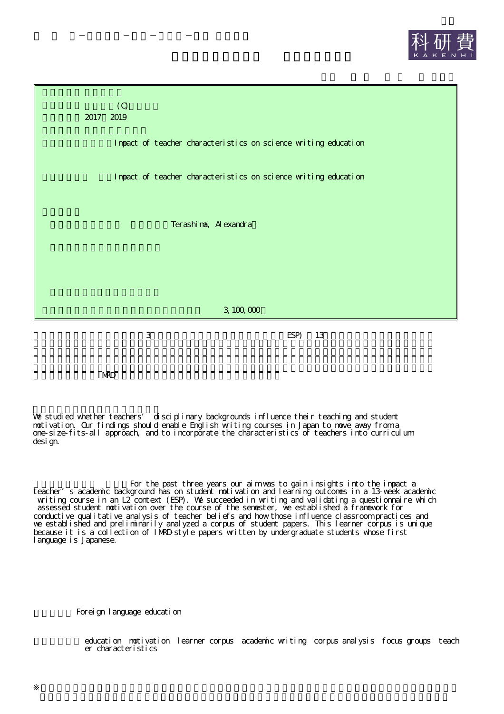



IMRD

We studied whether teachers' disciplinary backgrounds influence their teaching and student motivation. Our findings should enable English writing courses in Japan to move away from a one-size-fits-all approach, and to incorporate the characteristics of teachers into curriculum design.

For the past three years our aim was to gain insights into the impact a teacher's academic background has on student motivation and learning outcomes in a 13-week academic writing course in an L2 context (ESP). We succeeded in writing and validating a questionnaire which assessed student motivation over the course of the semester, we established a framework for conductive qualitative analysis of teacher beliefs and how those influence classroom practices and we established and preliminarily analyzed a corpus of student papers. This learner corpus is unique because it is a collection of IMRD-style papers written by undergraduate students whose first language is Japanese.

Foreign language education

education notivation learner corpus academic writing corpus analysis focus groups teach er characteristics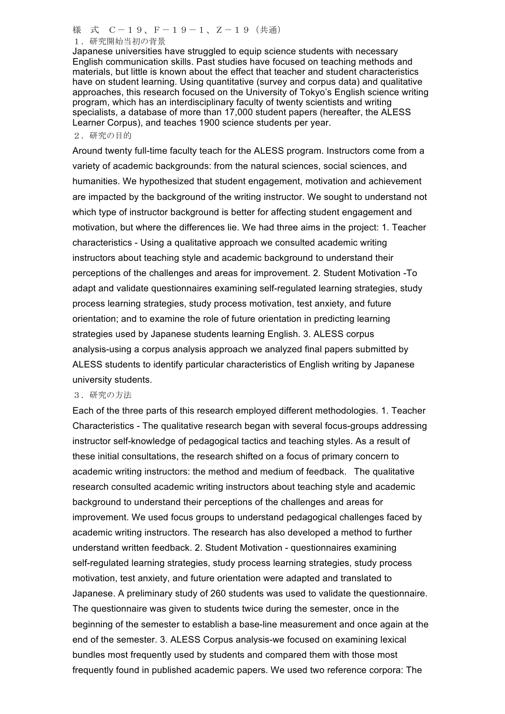様 式 C-19、F-19-1、Z-19 (共通) 1.研究開始当初の背景

Japanese universities have struggled to equip science students with necessary English communication skills. Past studies have focused on teaching methods and materials, but little is known about the effect that teacher and student characteristics have on student learning. Using quantitative (survey and corpus data) and qualitative approaches, this research focused on the University of Tokyo's English science writing program, which has an interdisciplinary faculty of twenty scientists and writing specialists, a database of more than 17,000 student papers (hereafter, the ALESS Learner Corpus), and teaches 1900 science students per year.

## 2.研究の目的

Around twenty full-time faculty teach for the ALESS program. Instructors come from a variety of academic backgrounds: from the natural sciences, social sciences, and humanities. We hypothesized that student engagement, motivation and achievement are impacted by the background of the writing instructor. We sought to understand not which type of instructor background is better for affecting student engagement and motivation, but where the differences lie. We had three aims in the project: 1. Teacher characteristics - Using a qualitative approach we consulted academic writing instructors about teaching style and academic background to understand their perceptions of the challenges and areas for improvement. 2. Student Motivation -To adapt and validate questionnaires examining self-regulated learning strategies, study process learning strategies, study process motivation, test anxiety, and future orientation; and to examine the role of future orientation in predicting learning strategies used by Japanese students learning English. 3. ALESS corpus analysis-using a corpus analysis approach we analyzed final papers submitted by ALESS students to identify particular characteristics of English writing by Japanese university students.

## 3.研究の方法

Each of the three parts of this research employed different methodologies. 1. Teacher Characteristics - The qualitative research began with several focus-groups addressing instructor self-knowledge of pedagogical tactics and teaching styles. As a result of these initial consultations, the research shifted on a focus of primary concern to academic writing instructors: the method and medium of feedback. The qualitative research consulted academic writing instructors about teaching style and academic background to understand their perceptions of the challenges and areas for improvement. We used focus groups to understand pedagogical challenges faced by academic writing instructors. The research has also developed a method to further understand written feedback. 2. Student Motivation - questionnaires examining self-regulated learning strategies, study process learning strategies, study process motivation, test anxiety, and future orientation were adapted and translated to Japanese. A preliminary study of 260 students was used to validate the questionnaire. The questionnaire was given to students twice during the semester, once in the beginning of the semester to establish a base-line measurement and once again at the end of the semester. 3. ALESS Corpus analysis-we focused on examining lexical bundles most frequently used by students and compared them with those most frequently found in published academic papers. We used two reference corpora: The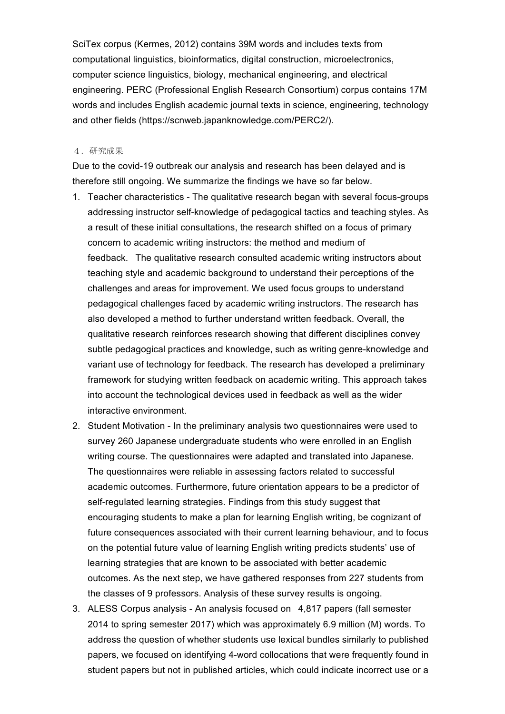SciTex corpus (Kermes, 2012) contains 39M words and includes texts from computational linguistics, bioinformatics, digital construction, microelectronics, computer science linguistics, biology, mechanical engineering, and electrical engineering. PERC (Professional English Research Consortium) corpus contains 17M words and includes English academic journal texts in science, engineering, technology and other fields (https://scnweb.japanknowledge.com/PERC2/).

## 4.研究成果

Due to the covid-19 outbreak our analysis and research has been delayed and is therefore still ongoing. We summarize the findings we have so far below.

- 1. Teacher characteristics The qualitative research began with several focus-groups addressing instructor self-knowledge of pedagogical tactics and teaching styles. As a result of these initial consultations, the research shifted on a focus of primary concern to academic writing instructors: the method and medium of feedback. The qualitative research consulted academic writing instructors about teaching style and academic background to understand their perceptions of the challenges and areas for improvement. We used focus groups to understand pedagogical challenges faced by academic writing instructors. The research has also developed a method to further understand written feedback. Overall, the qualitative research reinforces research showing that different disciplines convey subtle pedagogical practices and knowledge, such as writing genre-knowledge and variant use of technology for feedback. The research has developed a preliminary framework for studying written feedback on academic writing. This approach takes into account the technological devices used in feedback as well as the wider interactive environment.
- 2. Student Motivation In the preliminary analysis two questionnaires were used to survey 260 Japanese undergraduate students who were enrolled in an English writing course. The questionnaires were adapted and translated into Japanese. The questionnaires were reliable in assessing factors related to successful academic outcomes. Furthermore, future orientation appears to be a predictor of self-regulated learning strategies. Findings from this study suggest that encouraging students to make a plan for learning English writing, be cognizant of future consequences associated with their current learning behaviour, and to focus on the potential future value of learning English writing predicts students' use of learning strategies that are known to be associated with better academic outcomes. As the next step, we have gathered responses from 227 students from the classes of 9 professors. Analysis of these survey results is ongoing.
- 3. ALESS Corpus analysis An analysis focused on 4,817 papers (fall semester 2014 to spring semester 2017) which was approximately 6.9 million (M) words. To address the question of whether students use lexical bundles similarly to published papers, we focused on identifying 4-word collocations that were frequently found in student papers but not in published articles, which could indicate incorrect use or a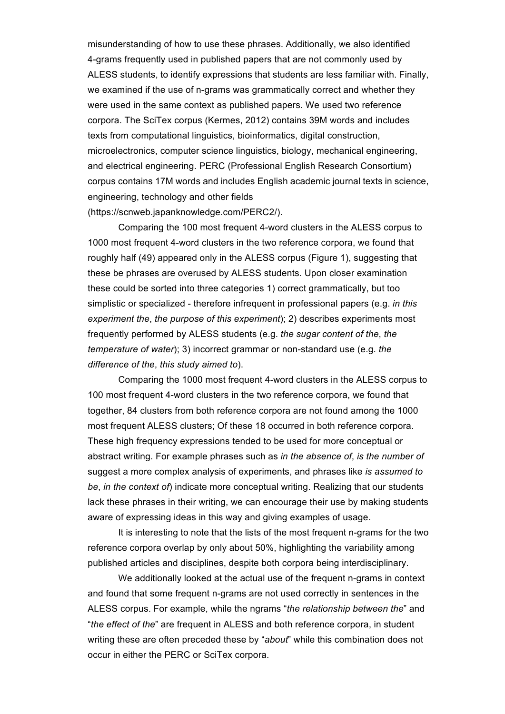misunderstanding of how to use these phrases. Additionally, we also identified 4-grams frequently used in published papers that are not commonly used by ALESS students, to identify expressions that students are less familiar with. Finally, we examined if the use of n-grams was grammatically correct and whether they were used in the same context as published papers. We used two reference corpora. The SciTex corpus (Kermes, 2012) contains 39M words and includes texts from computational linguistics, bioinformatics, digital construction, microelectronics, computer science linguistics, biology, mechanical engineering, and electrical engineering. PERC (Professional English Research Consortium) corpus contains 17M words and includes English academic journal texts in science, engineering, technology and other fields (https://scnweb.japanknowledge.com/PERC2/).

Comparing the 100 most frequent 4-word clusters in the ALESS corpus to 1000 most frequent 4-word clusters in the two reference corpora, we found that roughly half (49) appeared only in the ALESS corpus (Figure 1), suggesting that these be phrases are overused by ALESS students. Upon closer examination these could be sorted into three categories 1) correct grammatically, but too simplistic or specialized - therefore infrequent in professional papers (e.g. *in this experiment the*, *the purpose of this experiment*); 2) describes experiments most frequently performed by ALESS students (e.g. *the sugar content of the*, *the temperature of water*); 3) incorrect grammar or non-standard use (e.g. *the difference of the*, *this study aimed to*).

Comparing the 1000 most frequent 4-word clusters in the ALESS corpus to 100 most frequent 4-word clusters in the two reference corpora, we found that together, 84 clusters from both reference corpora are not found among the 1000 most frequent ALESS clusters; Of these 18 occurred in both reference corpora. These high frequency expressions tended to be used for more conceptual or abstract writing. For example phrases such as *in the absence of*, *is the number of*  suggest a more complex analysis of experiments, and phrases like *is assumed to be*, *in the context of*) indicate more conceptual writing. Realizing that our students lack these phrases in their writing, we can encourage their use by making students aware of expressing ideas in this way and giving examples of usage.

It is interesting to note that the lists of the most frequent n-grams for the two reference corpora overlap by only about 50%, highlighting the variability among published articles and disciplines, despite both corpora being interdisciplinary.

We additionally looked at the actual use of the frequent n-grams in context and found that some frequent n-grams are not used correctly in sentences in the ALESS corpus. For example, while the ngrams "*the relationship between the*" and "*the effect of the*" are frequent in ALESS and both reference corpora, in student writing these are often preceded these by "*about*" while this combination does not occur in either the PERC or SciTex corpora.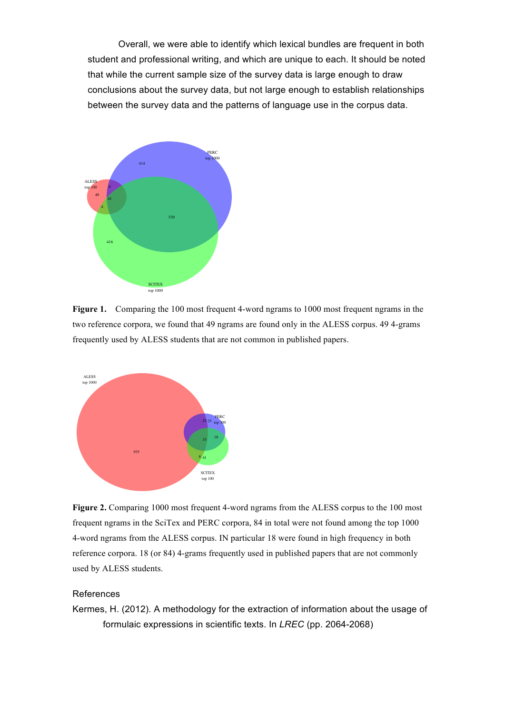Overall, we were able to identify which lexical bundles are frequent in both student and professional writing, and which are unique to each. It should be noted that while the current sample size of the survey data is large enough to draw conclusions about the survey data, but not large enough to establish relationships between the survey data and the patterns of language use in the corpus data.



**Figure 1.** Comparing the 100 most frequent 4-word ngrams to 1000 most frequent ngrams in the two reference corpora, we found that 49 ngrams are found only in the ALESS corpus. 49 4-grams frequently used by ALESS students that are not common in published papers.



Figure 2. Comparing 1000 most frequent 4-word ngrams from the ALESS corpus to the 100 most frequent ngrams in the SciTex and PERC corpora, 84 in total were not found among the top 1000 4-word ngrams from the ALESS corpus. IN particular 18 were found in high frequency in both reference corpora. 18 (or 84) 4-grams frequently used in published papers that are not commonly used by ALESS students.

## References

Kermes, H. (2012). A methodology for the extraction of information about the usage of formulaic expressions in scientific texts. In *LREC* (pp. 2064-2068)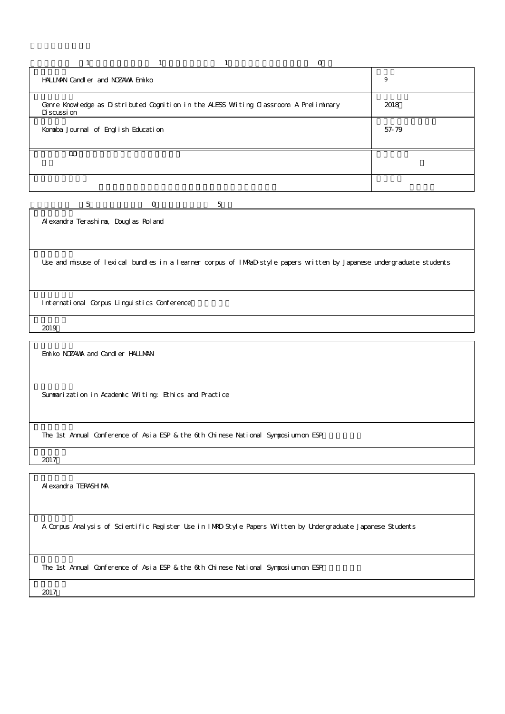| HALLMAN Cardler and NOZAWA Finiko                                                                    | 9     |
|------------------------------------------------------------------------------------------------------|-------|
| Gerre Knowledge as Distributed Cognition in the ALESS Writing Classroom. A Preliminary<br>Discussion | 2018  |
| Konaba Journal of English Education                                                                  | 57-79 |
| $\mathbf{m}$                                                                                         |       |
|                                                                                                      |       |

5 0 5

Alexandra Terashima, Douglas Roland

Use and misuse of lexical bundles in a learner corpus of IMRaD-style papers written by Japanese undergraduate students

International Corpus Linguistics Conference

2019

Emiko NOZAWA and Candler HALLMAN

Summarization in Academic Writing: Ethics and Practice

The 1st Annual Conference of Asia ESP & the 6th Chinese National Symposium on ESP

2017

Alexandra TERASHIMA

A Corpus Analysis of Scientific Register Use in IMRD-Style Papers Written by Undergraduate Japanese Students

The 1st Annual Conference of Asia ESP & the 6th Chinese National Symposium on ESP

2017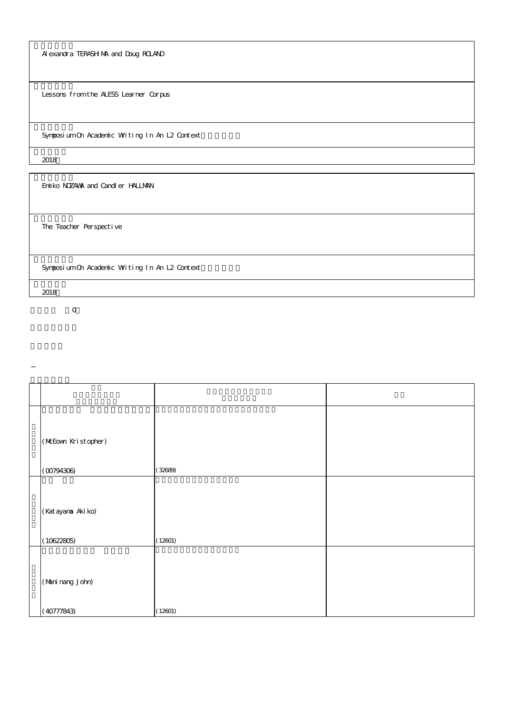Alexandra TERASHIMA and Doug ROLAND

Lessons from the ALESS Learner Corpus

Synposium On Academic Witing In An L2 Context

2018

Emiko NOZAWA and Candler HALLMAN

The Teacher Perspective

Synposium On Academic Writing In An L2 Context

2018

| (MEown Kristopher)             |         |  |
|--------------------------------|---------|--|
| (00794306)                     | (32689) |  |
| (Katayana Akiko)<br>(10622805) | (12601) |  |
| (Mani nang John)<br>(40777843) | (12601) |  |